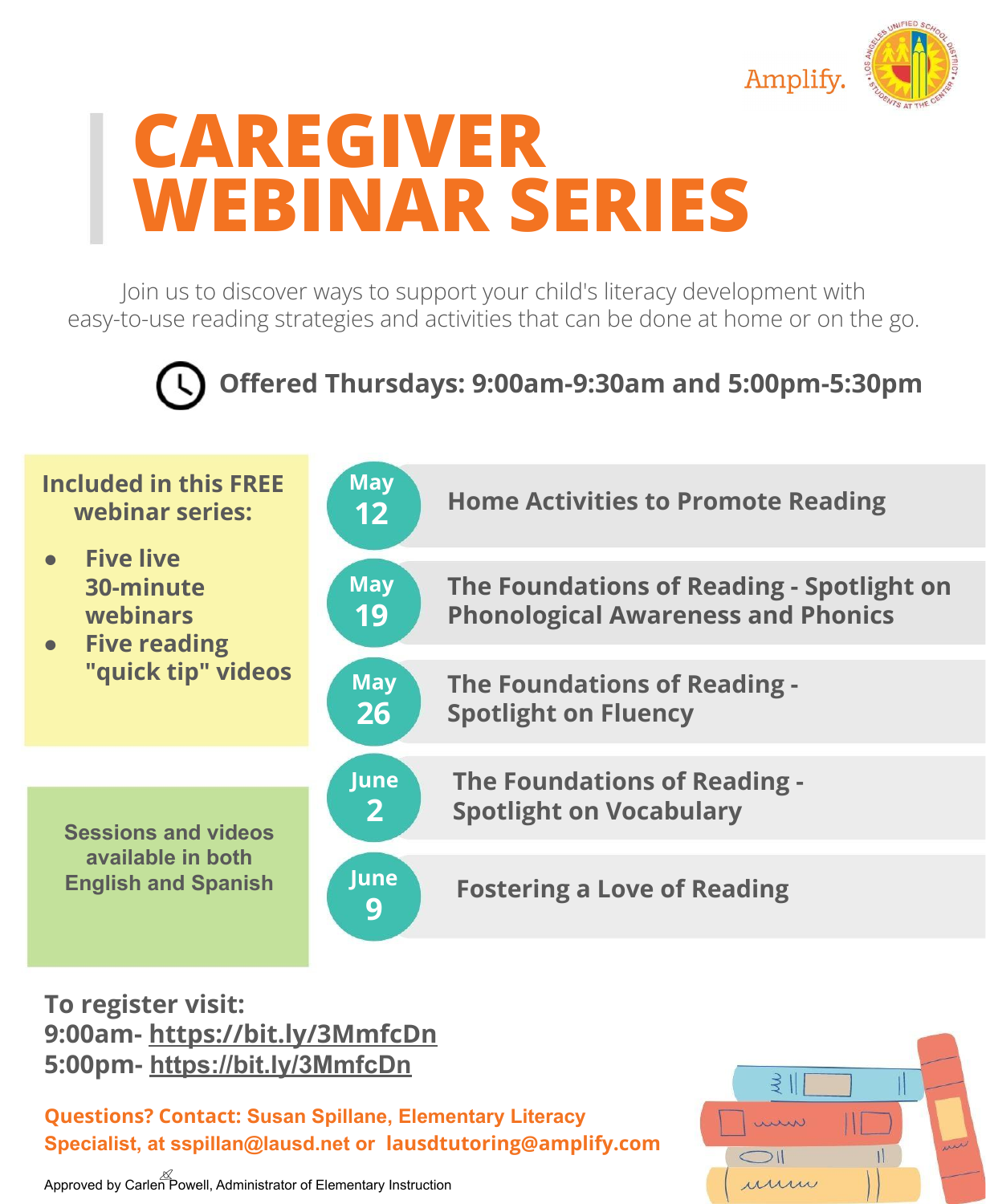

## **CAREGIVER WEBINAR SERIES**

Join us to discover ways to support your child's literacy development with easy-to-use reading strategies and activities that can be done at home or on the go.



**Offered Thursdays: 9:00am-9:30am and 5:00pm-5:30pm**



**To register visit: 9:00am- <https://bit.ly/3MmfcDn> 5:00pm- <https://bit.ly/3MmfcDn>**

**Questions? Contact: Susan Spillane, Elementary Literacy Specialist, at sspillan@lausd.net or lausdtutoring@amplify.com**

Approved by Carlen Powell, Administrator of Elementary Instruction